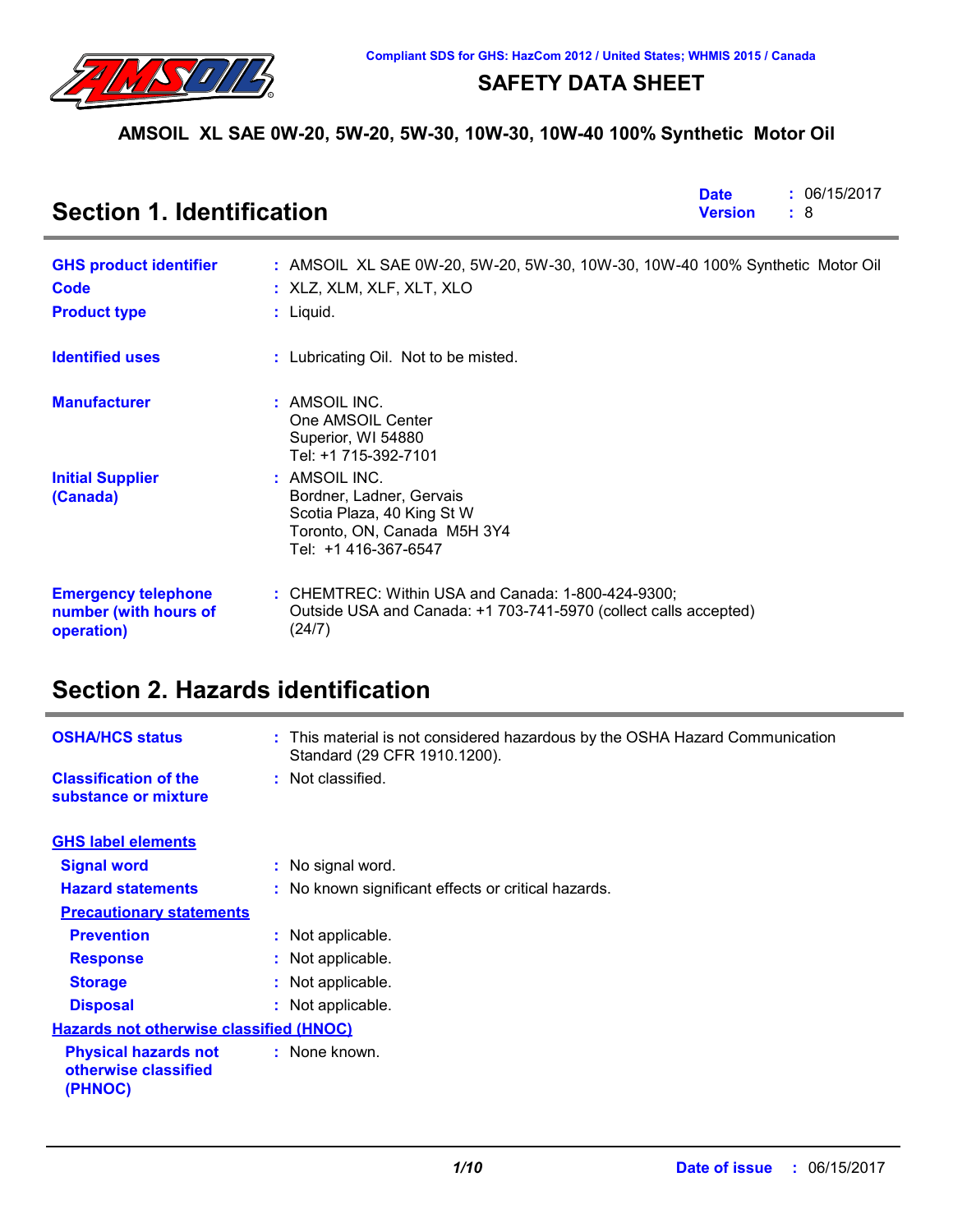

### **SAFETY DATA SHEET**

### **AMSOIL XL SAE 0W-20, 5W-20, 5W-30, 10W-30, 10W-40 100% Synthetic Motor Oil**

| <b>Section 1. Identification</b>                                  | <b>Date</b><br><b>Version</b>                                                                                                    | : 06/15/2017<br>: 8 |  |
|-------------------------------------------------------------------|----------------------------------------------------------------------------------------------------------------------------------|---------------------|--|
| <b>GHS product identifier</b><br>Code                             | : AMSOIL XL SAE 0W-20, 5W-20, 5W-30, 10W-30, 10W-40 100% Synthetic Motor Oil<br>: XLZ, XLM, XLF, XLT, XLO                        |                     |  |
| <b>Product type</b>                                               | $:$ Liquid.                                                                                                                      |                     |  |
| <b>Identified uses</b>                                            | : Lubricating Oil. Not to be misted.                                                                                             |                     |  |
| <b>Manufacturer</b>                                               | : AMSOIL INC.<br>One AMSOIL Center<br>Superior, WI 54880<br>Tel: +1 715-392-7101                                                 |                     |  |
| <b>Initial Supplier</b><br>(Canada)                               | : AMSOIL INC.<br>Bordner, Ladner, Gervais<br>Scotia Plaza, 40 King St W<br>Toronto, ON, Canada M5H 3Y4<br>Tel: +1 416-367-6547   |                     |  |
| <b>Emergency telephone</b><br>number (with hours of<br>operation) | : CHEMTREC: Within USA and Canada: 1-800-424-9300;<br>Outside USA and Canada: +1 703-741-5970 (collect calls accepted)<br>(24/7) |                     |  |

# **Section 2. Hazards identification**

| <b>OSHA/HCS status</b>                                         | : This material is not considered hazardous by the OSHA Hazard Communication<br>Standard (29 CFR 1910.1200). |
|----------------------------------------------------------------|--------------------------------------------------------------------------------------------------------------|
| <b>Classification of the</b><br>substance or mixture           | : Not classified.                                                                                            |
| <b>GHS label elements</b>                                      |                                                                                                              |
| <b>Signal word</b>                                             | : No signal word.                                                                                            |
| <b>Hazard statements</b>                                       | : No known significant effects or critical hazards.                                                          |
| <b>Precautionary statements</b>                                |                                                                                                              |
| <b>Prevention</b>                                              | : Not applicable.                                                                                            |
| <b>Response</b>                                                | : Not applicable.                                                                                            |
| <b>Storage</b>                                                 | Not applicable.                                                                                              |
| <b>Disposal</b>                                                | : Not applicable.                                                                                            |
| <b>Hazards not otherwise classified (HNOC)</b>                 |                                                                                                              |
| <b>Physical hazards not</b><br>otherwise classified<br>(PHNOC) | : None known.                                                                                                |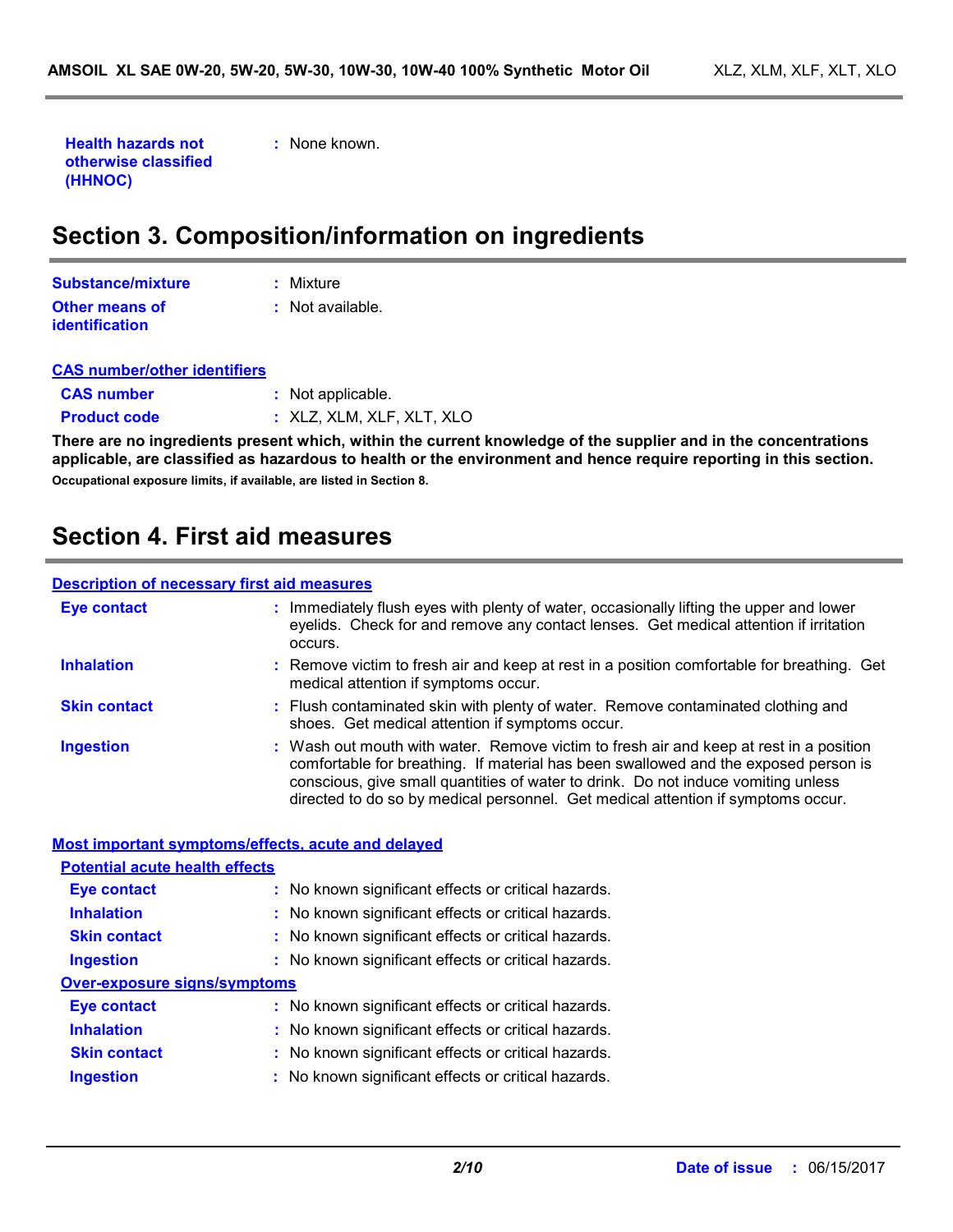**Health hazards not otherwise classified (HHNOC)**

**:** None known.

# **Section 3. Composition/information on ingredients**

| <b>Substance/mixture</b>                | : Mixture        |
|-----------------------------------------|------------------|
| Other means of<br><b>identification</b> | : Not available. |
|                                         |                  |

| <b>CAS number/other identifiers</b> |                           |
|-------------------------------------|---------------------------|
| <b>CAS number</b>                   | : Not applicable.         |
| <b>Product code</b>                 | : XLZ, XLM, XLF, XLT, XLO |

**There are no ingredients present which, within the current knowledge of the supplier and in the concentrations applicable, are classified as hazardous to health or the environment and hence require reporting in this section. Occupational exposure limits, if available, are listed in Section 8.**

# **Section 4. First aid measures**

#### **Description of necessary first aid measures**

| <b>Eye contact</b>  | : Immediately flush eyes with plenty of water, occasionally lifting the upper and lower<br>eyelids. Check for and remove any contact lenses. Get medical attention if irritation<br>occurs.                                                                                                                                                            |
|---------------------|--------------------------------------------------------------------------------------------------------------------------------------------------------------------------------------------------------------------------------------------------------------------------------------------------------------------------------------------------------|
| <b>Inhalation</b>   | : Remove victim to fresh air and keep at rest in a position comfortable for breathing. Get<br>medical attention if symptoms occur.                                                                                                                                                                                                                     |
| <b>Skin contact</b> | : Flush contaminated skin with plenty of water. Remove contaminated clothing and<br>shoes. Get medical attention if symptoms occur.                                                                                                                                                                                                                    |
| <b>Ingestion</b>    | : Wash out mouth with water. Remove victim to fresh air and keep at rest in a position<br>comfortable for breathing. If material has been swallowed and the exposed person is<br>conscious, give small quantities of water to drink. Do not induce vomiting unless<br>directed to do so by medical personnel. Get medical attention if symptoms occur. |

|                                       | <b>Most important symptoms/effects, acute and delayed</b> |
|---------------------------------------|-----------------------------------------------------------|
| <b>Potential acute health effects</b> |                                                           |
| <b>Eye contact</b>                    | : No known significant effects or critical hazards.       |
| <b>Inhalation</b>                     | : No known significant effects or critical hazards.       |
| <b>Skin contact</b>                   | : No known significant effects or critical hazards.       |
| <b>Ingestion</b>                      | : No known significant effects or critical hazards.       |
| <b>Over-exposure signs/symptoms</b>   |                                                           |
| <b>Eve contact</b>                    | : No known significant effects or critical hazards.       |
| <b>Inhalation</b>                     | : No known significant effects or critical hazards.       |
| <b>Skin contact</b>                   | : No known significant effects or critical hazards.       |
| <b>Ingestion</b>                      | : No known significant effects or critical hazards.       |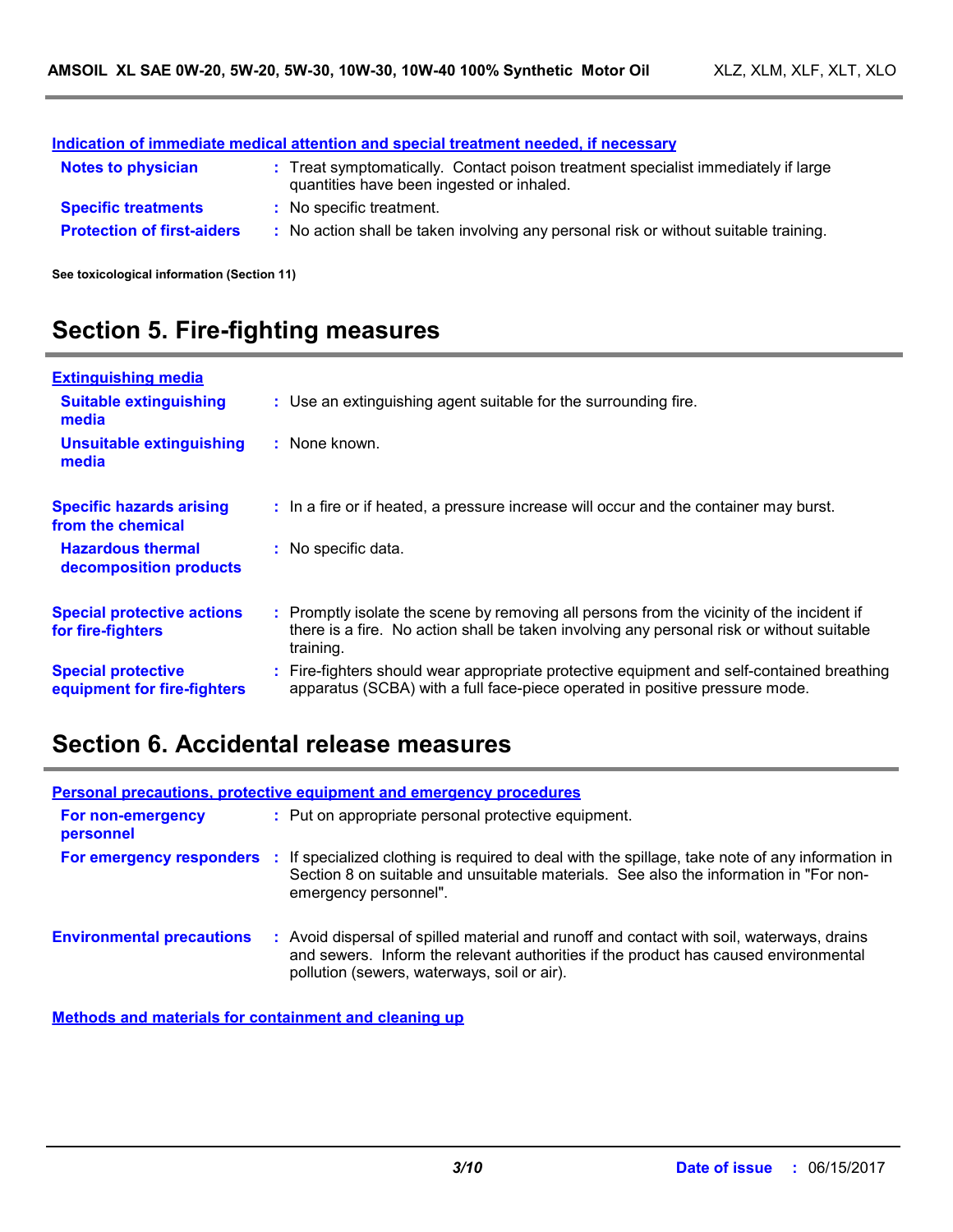|                                   | Indication of immediate medical attention and special treatment needed, if necessary                                           |
|-----------------------------------|--------------------------------------------------------------------------------------------------------------------------------|
| <b>Notes to physician</b>         | : Treat symptomatically. Contact poison treatment specialist immediately if large<br>quantities have been ingested or inhaled. |
| <b>Specific treatments</b>        | : No specific treatment.                                                                                                       |
| <b>Protection of first-aiders</b> | : No action shall be taken involving any personal risk or without suitable training.                                           |

**See toxicological information (Section 11)**

# **Section 5. Fire-fighting measures**

| <b>Extinguishing media</b>                               |                                                                                                                                                                                                     |  |
|----------------------------------------------------------|-----------------------------------------------------------------------------------------------------------------------------------------------------------------------------------------------------|--|
| <b>Suitable extinguishing</b><br>media                   | : Use an extinguishing agent suitable for the surrounding fire.                                                                                                                                     |  |
| <b>Unsuitable extinguishing</b><br>media                 | : None known.                                                                                                                                                                                       |  |
| <b>Specific hazards arising</b><br>from the chemical     | : In a fire or if heated, a pressure increase will occur and the container may burst.                                                                                                               |  |
| <b>Hazardous thermal</b><br>decomposition products       | : No specific data.                                                                                                                                                                                 |  |
| <b>Special protective actions</b><br>for fire-fighters   | : Promptly isolate the scene by removing all persons from the vicinity of the incident if<br>there is a fire. No action shall be taken involving any personal risk or without suitable<br>training. |  |
| <b>Special protective</b><br>equipment for fire-fighters | Fire-fighters should wear appropriate protective equipment and self-contained breathing<br>apparatus (SCBA) with a full face-piece operated in positive pressure mode.                              |  |

# **Section 6. Accidental release measures**

|                                  |     | Personal precautions, protective equipment and emergency procedures                                                                                                                                                             |
|----------------------------------|-----|---------------------------------------------------------------------------------------------------------------------------------------------------------------------------------------------------------------------------------|
| For non-emergency<br>personnel   |     | : Put on appropriate personal protective equipment.                                                                                                                                                                             |
| For emergency responders         | -11 | If specialized clothing is required to deal with the spillage, take note of any information in<br>Section 8 on suitable and unsuitable materials. See also the information in "For non-<br>emergency personnel".                |
| <b>Environmental precautions</b> |     | : Avoid dispersal of spilled material and runoff and contact with soil, waterways, drains<br>and sewers. Inform the relevant authorities if the product has caused environmental<br>pollution (sewers, waterways, soil or air). |

**Methods and materials for containment and cleaning up**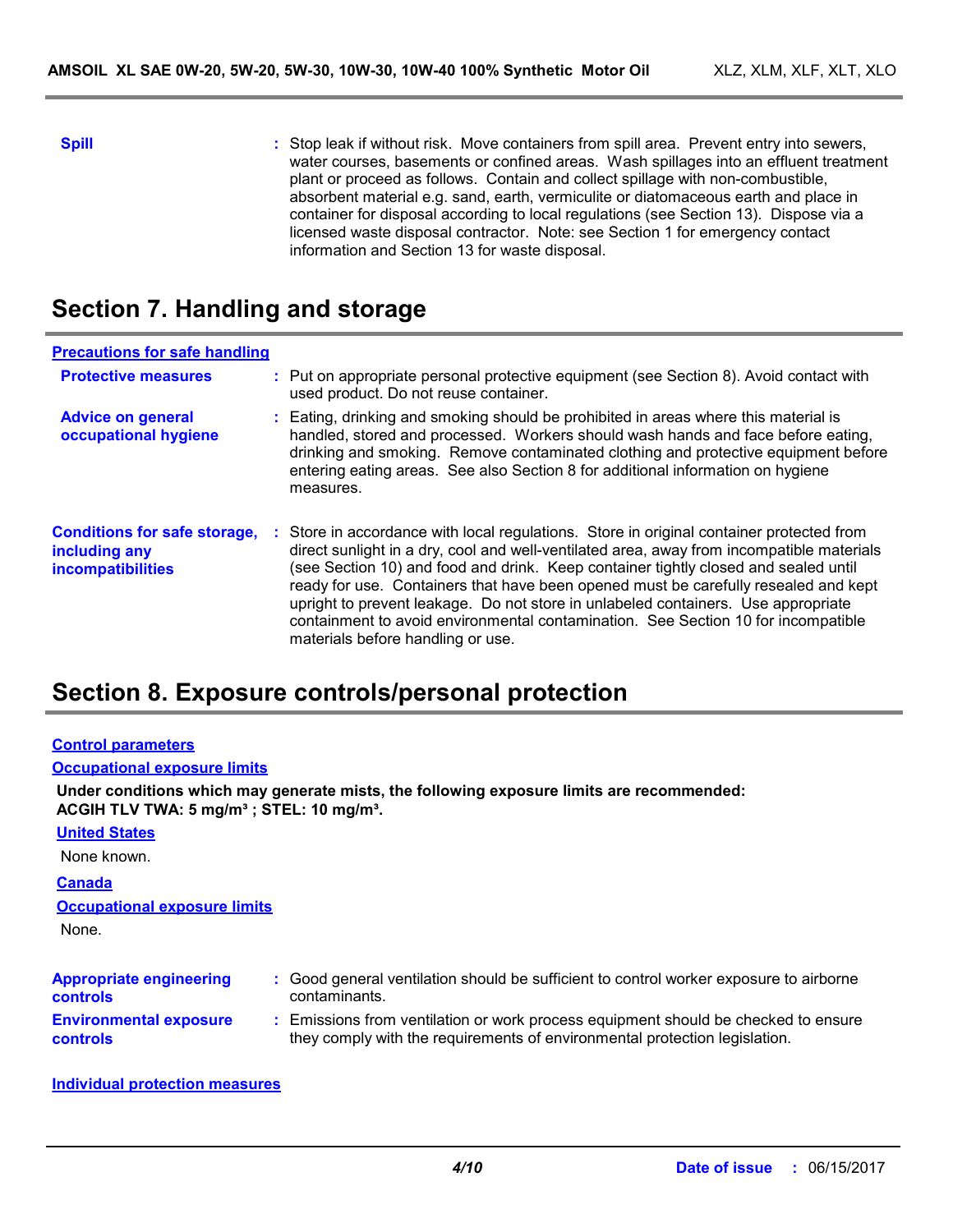**Spill** Stop leak if without risk. Move containers from spill area. Prevent entry into sewers, water courses, basements or confined areas. Wash spillages into an effluent treatment plant or proceed as follows. Contain and collect spillage with non-combustible, absorbent material e.g. sand, earth, vermiculite or diatomaceous earth and place in container for disposal according to local regulations (see Section 13). Dispose via a licensed waste disposal contractor. Note: see Section 1 for emergency contact information and Section 13 for waste disposal.

### **Section 7. Handling and storage**

| <b>Precautions for safe handling</b>                                      |                                                                                                                                                                                                                                                                                                                                                                                                                                                                                                                                                                                    |
|---------------------------------------------------------------------------|------------------------------------------------------------------------------------------------------------------------------------------------------------------------------------------------------------------------------------------------------------------------------------------------------------------------------------------------------------------------------------------------------------------------------------------------------------------------------------------------------------------------------------------------------------------------------------|
| <b>Protective measures</b>                                                | : Put on appropriate personal protective equipment (see Section 8). Avoid contact with<br>used product. Do not reuse container.                                                                                                                                                                                                                                                                                                                                                                                                                                                    |
| <b>Advice on general</b><br>occupational hygiene                          | : Eating, drinking and smoking should be prohibited in areas where this material is<br>handled, stored and processed. Workers should wash hands and face before eating,<br>drinking and smoking. Remove contaminated clothing and protective equipment before<br>entering eating areas. See also Section 8 for additional information on hygiene<br>measures.                                                                                                                                                                                                                      |
| <b>Conditions for safe storage,</b><br>including any<br>incompatibilities | : Store in accordance with local regulations. Store in original container protected from<br>direct sunlight in a dry, cool and well-ventilated area, away from incompatible materials<br>(see Section 10) and food and drink. Keep container tightly closed and sealed until<br>ready for use. Containers that have been opened must be carefully resealed and kept<br>upright to prevent leakage. Do not store in unlabeled containers. Use appropriate<br>containment to avoid environmental contamination. See Section 10 for incompatible<br>materials before handling or use. |

## **Section 8. Exposure controls/personal protection**

| <b>Control parameters</b> |
|---------------------------|
|---------------------------|

#### **Occupational exposure limits**

**Under conditions which may generate mists, the following exposure limits are recommended: ACGIH TLV TWA: 5 mg/m³ ; STEL: 10 mg/m³.**

| <b>United States</b><br>None known.               |                                                                                                                                                                  |
|---------------------------------------------------|------------------------------------------------------------------------------------------------------------------------------------------------------------------|
| <b>Canada</b>                                     |                                                                                                                                                                  |
| <b>Occupational exposure limits</b>               |                                                                                                                                                                  |
| None.                                             |                                                                                                                                                                  |
| <b>Appropriate engineering</b><br><b>controls</b> | : Good general ventilation should be sufficient to control worker exposure to airborne<br>contaminants.                                                          |
| <b>Environmental exposure</b><br><b>controls</b>  | : Emissions from ventilation or work process equipment should be checked to ensure<br>they comply with the requirements of environmental protection legislation. |

#### **Individual protection measures**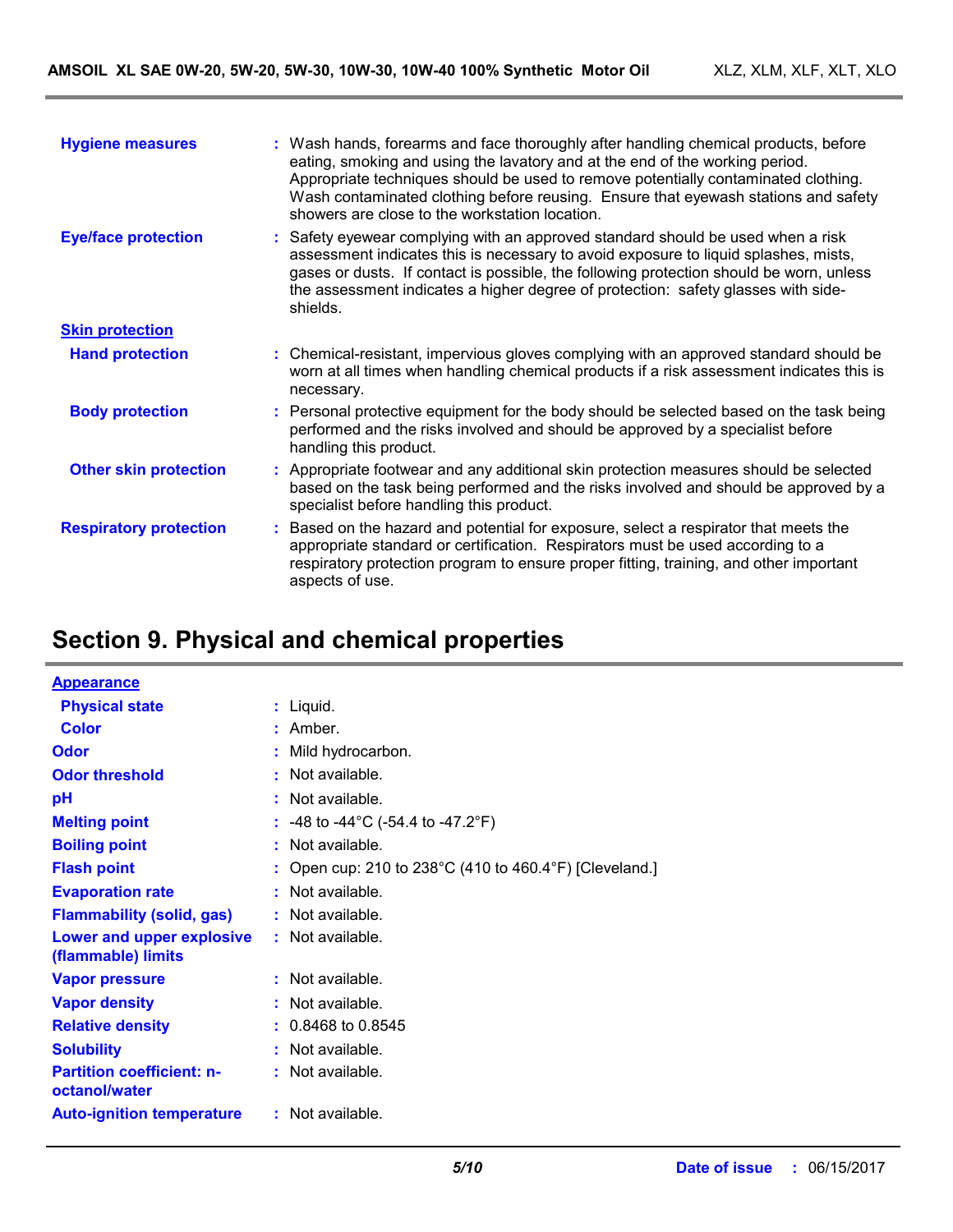| <b>Hygiene measures</b>       | : Wash hands, forearms and face thoroughly after handling chemical products, before<br>eating, smoking and using the lavatory and at the end of the working period.<br>Appropriate techniques should be used to remove potentially contaminated clothing.<br>Wash contaminated clothing before reusing. Ensure that eyewash stations and safety<br>showers are close to the workstation location. |
|-------------------------------|---------------------------------------------------------------------------------------------------------------------------------------------------------------------------------------------------------------------------------------------------------------------------------------------------------------------------------------------------------------------------------------------------|
| <b>Eye/face protection</b>    | : Safety eyewear complying with an approved standard should be used when a risk<br>assessment indicates this is necessary to avoid exposure to liquid splashes, mists,<br>gases or dusts. If contact is possible, the following protection should be worn, unless<br>the assessment indicates a higher degree of protection: safety glasses with side-<br>shields.                                |
| <b>Skin protection</b>        |                                                                                                                                                                                                                                                                                                                                                                                                   |
| <b>Hand protection</b>        | : Chemical-resistant, impervious gloves complying with an approved standard should be<br>worn at all times when handling chemical products if a risk assessment indicates this is<br>necessary.                                                                                                                                                                                                   |
| <b>Body protection</b>        | : Personal protective equipment for the body should be selected based on the task being<br>performed and the risks involved and should be approved by a specialist before<br>handling this product.                                                                                                                                                                                               |
| <b>Other skin protection</b>  | : Appropriate footwear and any additional skin protection measures should be selected<br>based on the task being performed and the risks involved and should be approved by a<br>specialist before handling this product.                                                                                                                                                                         |
| <b>Respiratory protection</b> | : Based on the hazard and potential for exposure, select a respirator that meets the<br>appropriate standard or certification. Respirators must be used according to a<br>respiratory protection program to ensure proper fitting, training, and other important<br>aspects of use.                                                                                                               |

# **Section 9. Physical and chemical properties**

| <b>Appearance</b>                                 |                                                            |
|---------------------------------------------------|------------------------------------------------------------|
| <b>Physical state</b>                             | $:$ Liquid.                                                |
| Color                                             | $:$ Amber.                                                 |
| <b>Odor</b>                                       | : Mild hydrocarbon.                                        |
| <b>Odor threshold</b>                             | : Not available.                                           |
| pH                                                | : Not available.                                           |
| <b>Melting point</b>                              | : $-48$ to $-44^{\circ}$ C ( $-54.4$ to $-47.2^{\circ}$ F) |
| <b>Boiling point</b>                              | : Not available.                                           |
| <b>Flash point</b>                                | : Open cup: 210 to 238°C (410 to 460.4°F) [Cleveland.]     |
| <b>Evaporation rate</b>                           | : Not available.                                           |
| <b>Flammability (solid, gas)</b>                  | : Not available.                                           |
| Lower and upper explosive<br>(flammable) limits   | : Not available.                                           |
| <b>Vapor pressure</b>                             | $:$ Not available.                                         |
| <b>Vapor density</b>                              | : Not available.                                           |
| <b>Relative density</b>                           | $: 0.8468$ to 0.8545                                       |
| <b>Solubility</b>                                 | $:$ Not available.                                         |
| <b>Partition coefficient: n-</b><br>octanol/water | : Not available.                                           |
| <b>Auto-ignition temperature</b>                  | : Not available.                                           |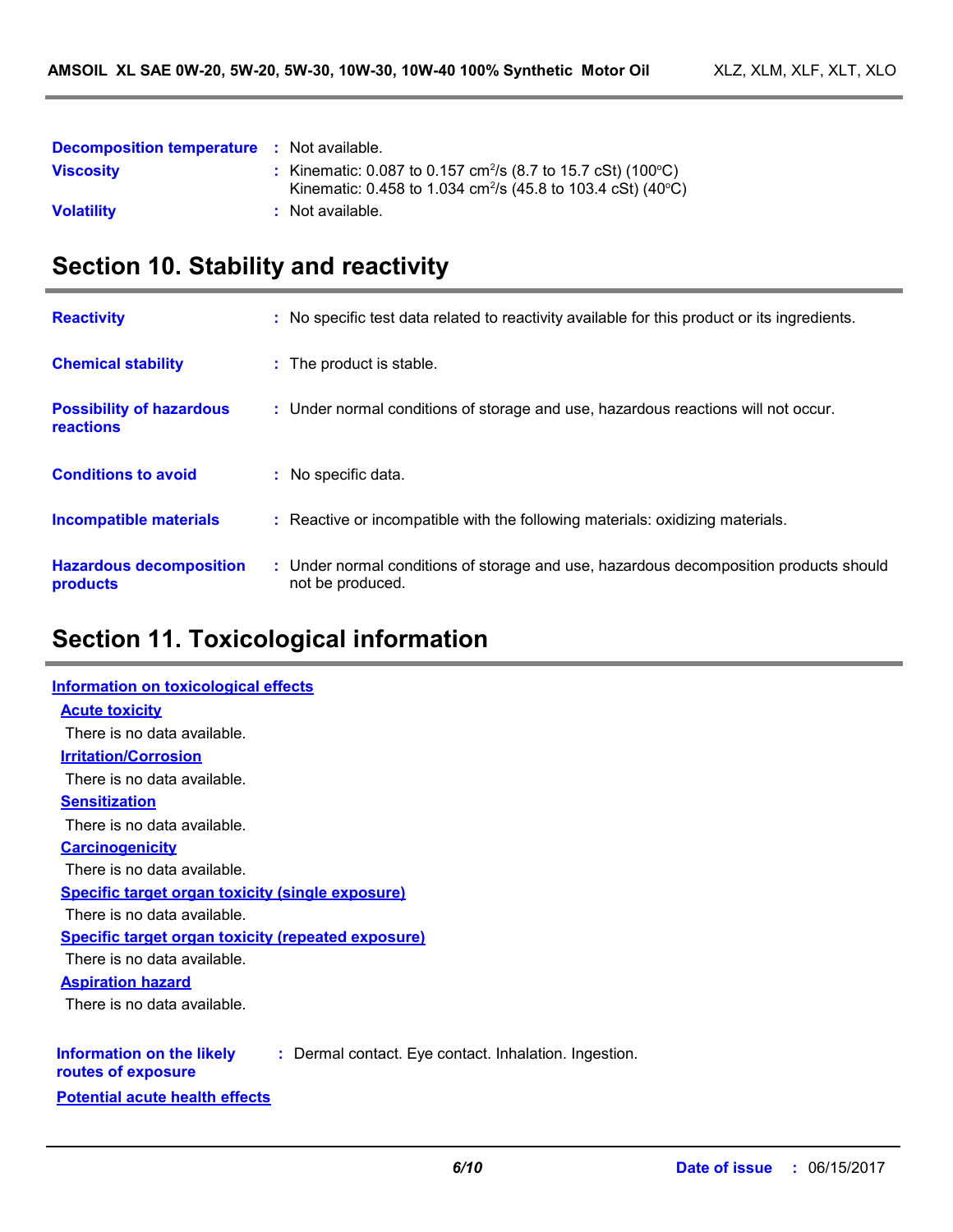| <b>Decomposition temperature : Not available.</b> |                                                                                                                                                      |
|---------------------------------------------------|------------------------------------------------------------------------------------------------------------------------------------------------------|
| <b>Viscosity</b>                                  | : Kinematic: 0.087 to 0.157 cm <sup>2</sup> /s (8.7 to 15.7 cSt) (100 °C)<br>Kinematic: 0.458 to 1.034 cm <sup>2</sup> /s (45.8 to 103.4 cSt) (40°C) |
| <b>Volatility</b>                                 | : Not available.                                                                                                                                     |

# **Section 10. Stability and reactivity**

| <b>Reactivity</b>                            | : No specific test data related to reactivity available for this product or its ingredients. |
|----------------------------------------------|----------------------------------------------------------------------------------------------|
| <b>Chemical stability</b>                    | : The product is stable.                                                                     |
| <b>Possibility of hazardous</b><br>reactions | : Under normal conditions of storage and use, hazardous reactions will not occur.            |
| <b>Conditions to avoid</b>                   | : No specific data.                                                                          |
| <b>Incompatible materials</b>                | : Reactive or incompatible with the following materials: oxidizing materials.                |
|                                              |                                                                                              |

# **Section 11. Toxicological information**

| Information on toxicological effects                                                                     |
|----------------------------------------------------------------------------------------------------------|
| <b>Acute toxicity</b>                                                                                    |
| There is no data available.                                                                              |
| <b>Irritation/Corrosion</b>                                                                              |
| There is no data available.                                                                              |
| <b>Sensitization</b>                                                                                     |
| There is no data available.                                                                              |
| <b>Carcinogenicity</b>                                                                                   |
| There is no data available.                                                                              |
| <b>Specific target organ toxicity (single exposure)</b>                                                  |
| There is no data available.                                                                              |
| <b>Specific target organ toxicity (repeated exposure)</b>                                                |
| There is no data available.                                                                              |
| <b>Aspiration hazard</b>                                                                                 |
| There is no data available.                                                                              |
|                                                                                                          |
| Information on the likely<br>: Dermal contact. Eye contact. Inhalation. Ingestion.<br>routes of exposure |
| <b>Potential acute health effects</b>                                                                    |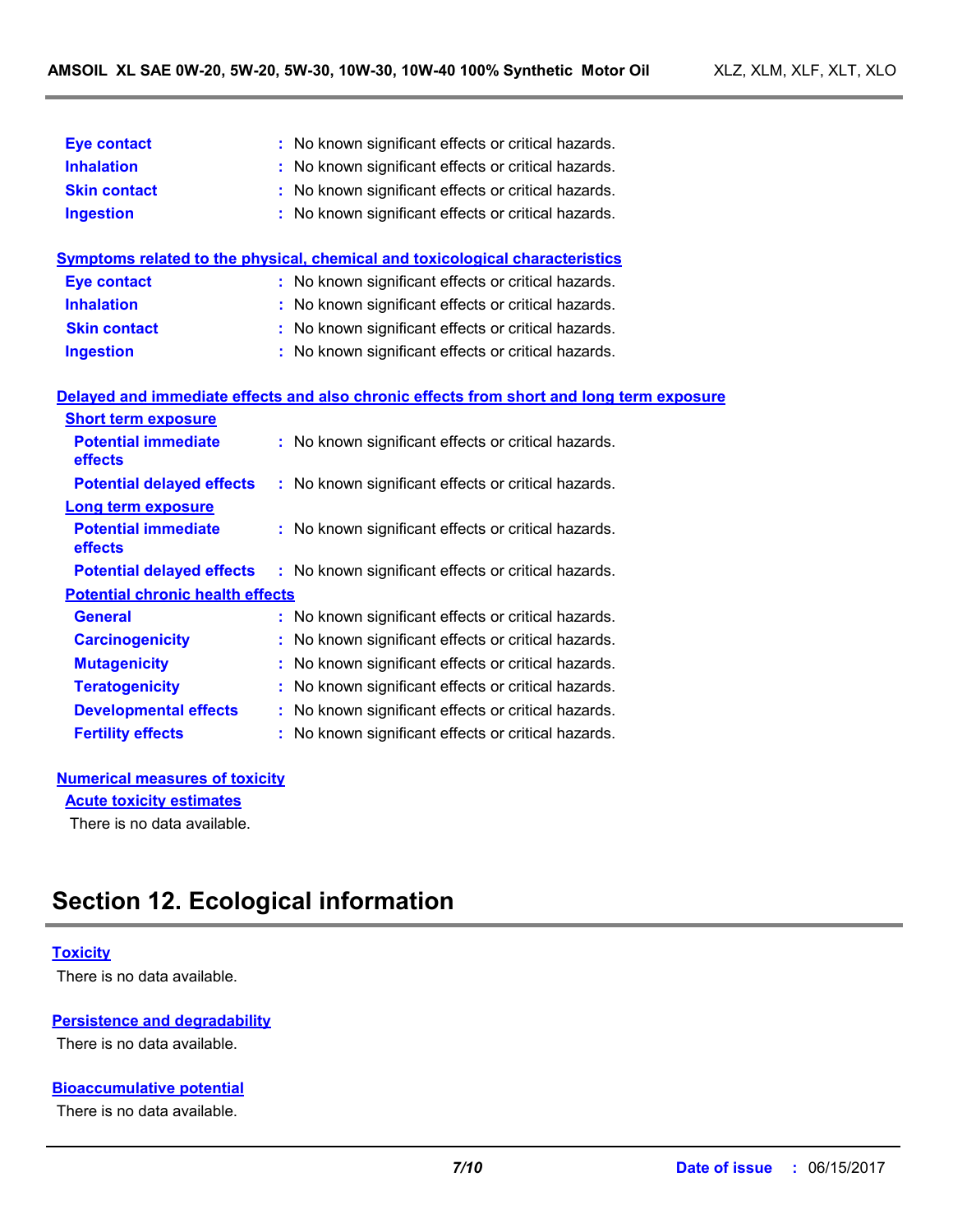| <b>Eye contact</b>                                                                  | : No known significant effects or critical hazards.                                      |  |  |  |  |
|-------------------------------------------------------------------------------------|------------------------------------------------------------------------------------------|--|--|--|--|
| <b>Inhalation</b>                                                                   | : No known significant effects or critical hazards.                                      |  |  |  |  |
| <b>Skin contact</b>                                                                 | No known significant effects or critical hazards.                                        |  |  |  |  |
| <b>Ingestion</b>                                                                    | No known significant effects or critical hazards.                                        |  |  |  |  |
|                                                                                     |                                                                                          |  |  |  |  |
| <b>Symptoms related to the physical, chemical and toxicological characteristics</b> |                                                                                          |  |  |  |  |
| <b>Eye contact</b>                                                                  | : No known significant effects or critical hazards.                                      |  |  |  |  |
| <b>Inhalation</b>                                                                   | : No known significant effects or critical hazards.                                      |  |  |  |  |
| <b>Skin contact</b>                                                                 | No known significant effects or critical hazards.                                        |  |  |  |  |
| <b>Ingestion</b>                                                                    | : No known significant effects or critical hazards.                                      |  |  |  |  |
|                                                                                     |                                                                                          |  |  |  |  |
|                                                                                     | Delayed and immediate effects and also chronic effects from short and long term exposure |  |  |  |  |
| <b>Short term exposure</b>                                                          |                                                                                          |  |  |  |  |
| <b>Potential immediate</b><br>effects                                               | : No known significant effects or critical hazards.                                      |  |  |  |  |
| <b>Potential delayed effects</b>                                                    | : No known significant effects or critical hazards.                                      |  |  |  |  |
| <b>Long term exposure</b>                                                           |                                                                                          |  |  |  |  |
| <b>Potential immediate</b><br>effects                                               | : No known significant effects or critical hazards.                                      |  |  |  |  |
| <b>Potential delayed effects</b>                                                    | : No known significant effects or critical hazards.                                      |  |  |  |  |
| <b>Potential chronic health effects</b>                                             |                                                                                          |  |  |  |  |
| <b>General</b>                                                                      | : No known significant effects or critical hazards.                                      |  |  |  |  |
| <b>Carcinogenicity</b>                                                              | : No known significant effects or critical hazards.                                      |  |  |  |  |
| <b>Mutagenicity</b>                                                                 | No known significant effects or critical hazards.                                        |  |  |  |  |
| <b>Teratogenicity</b>                                                               | No known significant effects or critical hazards.                                        |  |  |  |  |
| <b>Developmental effects</b>                                                        | : No known significant effects or critical hazards.                                      |  |  |  |  |
| <b>Fertility effects</b>                                                            | : No known significant effects or critical hazards.                                      |  |  |  |  |
|                                                                                     |                                                                                          |  |  |  |  |

### **Numerical measures of toxicity Acute toxicity estimates**

There is no data available.

# **Section 12. Ecological information**

### **Toxicity**

There is no data available.

#### **Persistence and degradability**

There is no data available.

#### **Bioaccumulative potential**

There is no data available.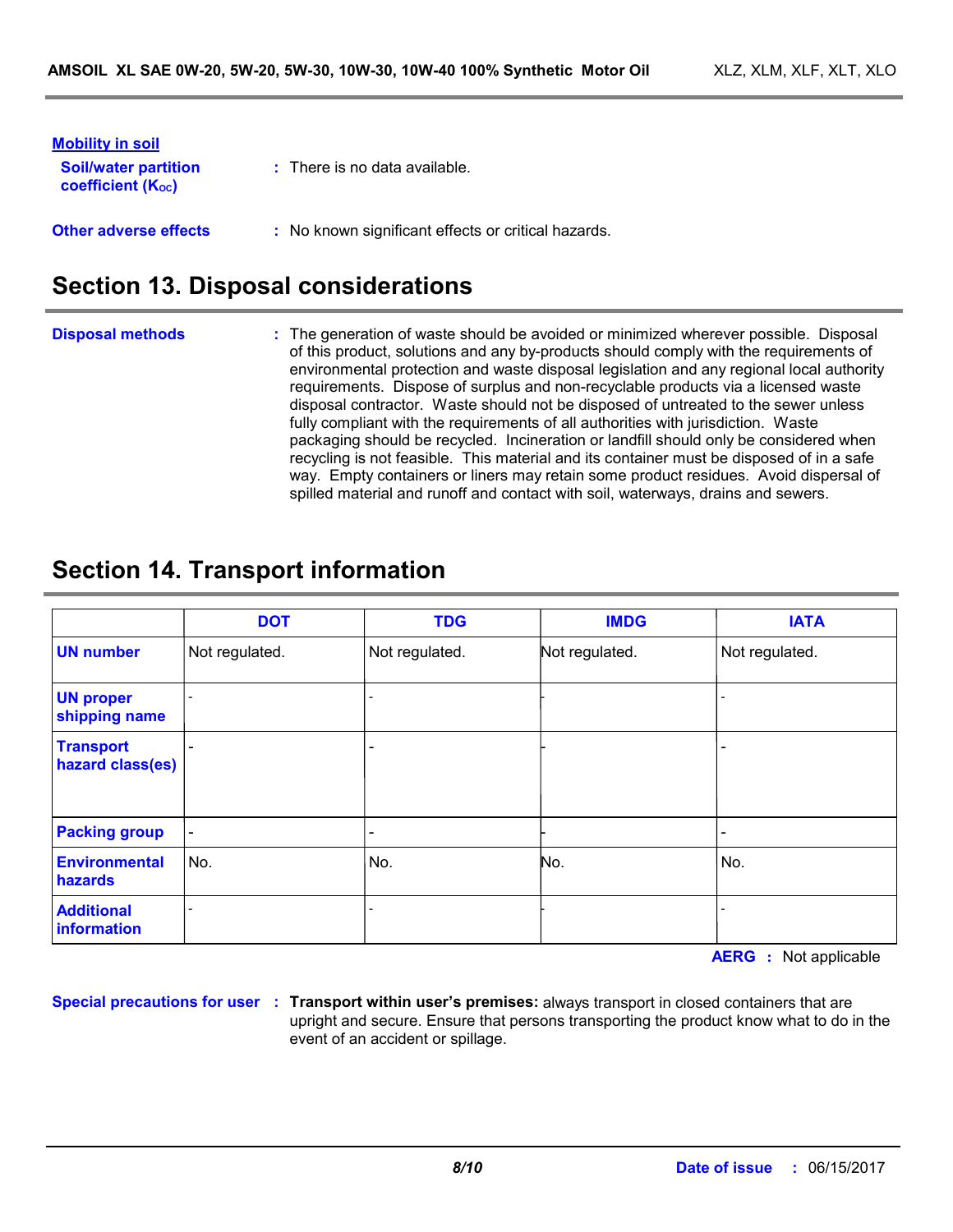| <u>Mobility in soil</u><br><b>Soil/water partition</b><br><b>coefficient (Koc)</b> | $\therefore$ There is no data available.            |
|------------------------------------------------------------------------------------|-----------------------------------------------------|
| <b>Other adverse effects</b>                                                       | : No known significant effects or critical hazards. |

### **Section 13. Disposal considerations**

The generation of waste should be avoided or minimized wherever possible. Disposal of this product, solutions and any by-products should comply with the requirements of environmental protection and waste disposal legislation and any regional local authority requirements. Dispose of surplus and non-recyclable products via a licensed waste disposal contractor. Waste should not be disposed of untreated to the sewer unless fully compliant with the requirements of all authorities with jurisdiction. Waste packaging should be recycled. Incineration or landfill should only be considered when recycling is not feasible. This material and its container must be disposed of in a safe way. Empty containers or liners may retain some product residues. Avoid dispersal of spilled material and runoff and contact with soil, waterways, drains and sewers. **Disposal methods :**

## **Section 14. Transport information**

|                                      | <b>DOT</b>               | <b>TDG</b>     | <b>IMDG</b>    | <b>IATA</b>    |
|--------------------------------------|--------------------------|----------------|----------------|----------------|
| <b>UN number</b>                     | Not regulated.           | Not regulated. | Not regulated. | Not regulated. |
| <b>UN proper</b><br>shipping name    |                          |                |                |                |
| <b>Transport</b><br>hazard class(es) |                          |                |                |                |
| <b>Packing group</b>                 | $\overline{\phantom{a}}$ | -              |                |                |
| <b>Environmental</b><br>hazards      | No.                      | No.            | No.            | No.            |
| <b>Additional</b><br>information     |                          |                |                |                |

**AERG :** Not applicable

**Special precautions for user Transport within user's premises:** always transport in closed containers that are **:** upright and secure. Ensure that persons transporting the product know what to do in the event of an accident or spillage.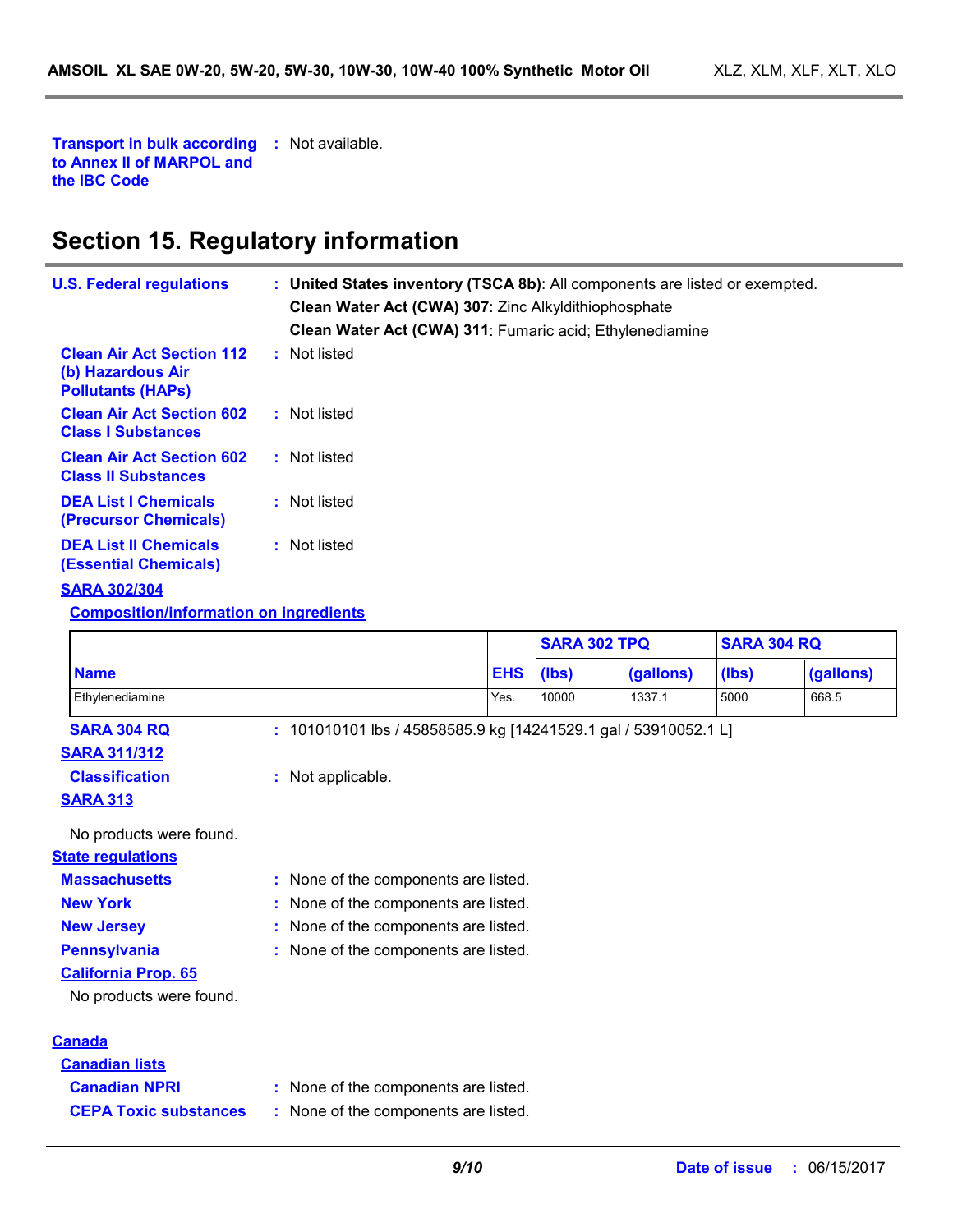**Transport in bulk according :** Not available. **to Annex II of MARPOL and the IBC Code**

# **Section 15. Regulatory information**

| <b>U.S. Federal regulations</b>                                                   | : United States inventory (TSCA 8b): All components are listed or exempted.<br>Clean Water Act (CWA) 307: Zinc Alkyldithiophosphate<br>Clean Water Act (CWA) 311: Fumaric acid; Ethylenediamine |
|-----------------------------------------------------------------------------------|-------------------------------------------------------------------------------------------------------------------------------------------------------------------------------------------------|
| <b>Clean Air Act Section 112</b><br>(b) Hazardous Air<br><b>Pollutants (HAPS)</b> | : Not listed                                                                                                                                                                                    |
| <b>Clean Air Act Section 602</b><br><b>Class I Substances</b>                     | : Not listed                                                                                                                                                                                    |
| <b>Clean Air Act Section 602</b><br><b>Class II Substances</b>                    | : Not listed                                                                                                                                                                                    |
| <b>DEA List I Chemicals</b><br>(Precursor Chemicals)                              | : Not listed                                                                                                                                                                                    |
| <b>DEA List II Chemicals</b><br><b>(Essential Chemicals)</b>                      | : Not listed                                                                                                                                                                                    |
| <b>CADA 2001204</b>                                                               |                                                                                                                                                                                                 |

### **SARA 302/304**

### **Composition/information on ingredients**

|                              |                                                                 |            |       | <b>SARA 302 TPQ</b> |       | <b>SARA 304 RQ</b> |  |
|------------------------------|-----------------------------------------------------------------|------------|-------|---------------------|-------|--------------------|--|
| <b>Name</b>                  |                                                                 | <b>EHS</b> | (Ibs) | (gallons)           | (Ibs) | (gallons)          |  |
| Ethylenediamine              |                                                                 | Yes.       | 10000 | 1337.1              | 5000  | 668.5              |  |
| <b>SARA 304 RQ</b>           | : 101010101 lbs / 45858585.9 kg [14241529.1 gal / 53910052.1 L] |            |       |                     |       |                    |  |
| <b>SARA 311/312</b>          |                                                                 |            |       |                     |       |                    |  |
| <b>Classification</b>        | : Not applicable.                                               |            |       |                     |       |                    |  |
| <b>SARA 313</b>              |                                                                 |            |       |                     |       |                    |  |
| No products were found.      |                                                                 |            |       |                     |       |                    |  |
| <b>State regulations</b>     |                                                                 |            |       |                     |       |                    |  |
| <b>Massachusetts</b>         | : None of the components are listed.                            |            |       |                     |       |                    |  |
| <b>New York</b>              | None of the components are listed.                              |            |       |                     |       |                    |  |
| <b>New Jersey</b>            | None of the components are listed.<br>t.                        |            |       |                     |       |                    |  |
| <b>Pennsylvania</b>          | None of the components are listed.                              |            |       |                     |       |                    |  |
| <b>California Prop. 65</b>   |                                                                 |            |       |                     |       |                    |  |
| No products were found.      |                                                                 |            |       |                     |       |                    |  |
| <b>Canada</b>                |                                                                 |            |       |                     |       |                    |  |
| <b>Canadian lists</b>        |                                                                 |            |       |                     |       |                    |  |
| <b>Canadian NPRI</b>         | : None of the components are listed.                            |            |       |                     |       |                    |  |
| <b>CEPA Toxic substances</b> | : None of the components are listed.                            |            |       |                     |       |                    |  |
|                              |                                                                 |            |       |                     |       |                    |  |